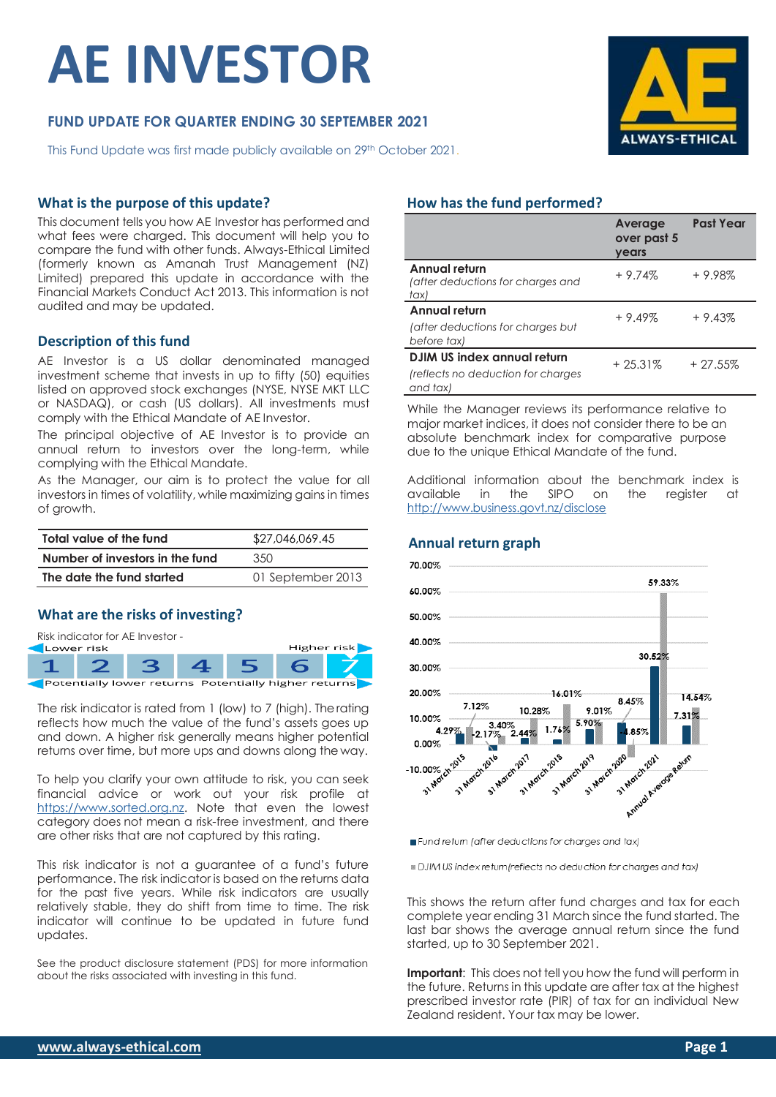# **AE INVESTOR**

# **FUND UPDATE FOR QUARTER ENDING 30 SEPTEMBER 2021**

This Fund Update was first made publicly available on 29<sup>th</sup> October 2021.

#### **What is the purpose of this update?**

This document tells you how AE Investor has performed and what fees were charged. This document will help you to compare the fund with other funds. Always-Ethical Limited (formerly known as Amanah Trust Management (NZ) Limited) prepared this update in accordance with the Financial Markets Conduct Act 2013. This information is not audited and may be updated.

#### **Description of this fund**

AE Investor is a US dollar denominated managed investment scheme that invests in up to fifty (50) equities listed on approved stock exchanges (NYSE, NYSE MKT LLC or NASDAQ), or cash (US dollars). All investments must comply with the Ethical Mandate of AE Investor.

The principal objective of AE Investor is to provide an annual return to investors over the long-term, while complying with the Ethical Mandate.

As the Manager, our aim is to protect the value for all investors in times of volatility, while maximizing gains in times of growth.

| Total value of the fund         | \$27,046,069.45   |  |  |
|---------------------------------|-------------------|--|--|
| Number of investors in the fund | 3.50              |  |  |
| The date the fund started       | 01 September 2013 |  |  |

#### **What are the risks of investing?**

| Risk indicator for AE Investor -<br>Higher risk<br>Lower risk |  |  |  |  |  |  |
|---------------------------------------------------------------|--|--|--|--|--|--|
|                                                               |  |  |  |  |  |  |
| Potentially lower returns Potentially higher returns          |  |  |  |  |  |  |

The risk indicator is rated from 1 (low) to 7 (high). Therating reflects how much the value of the fund's assets goes up and down. A higher risk generally means higher potential returns over time, but more ups and downs along the way.

To help you clarify your own attitude to risk, you can seek financial advice or work out your risk profile at [https://www.sorted.org.nz.](https://www.sorted.org.nz/guides/kiwisaver-which-fund-suits) Note that even the lowest category does not mean a risk-free investment, and there are other risks that are not captured by this rating.

This risk indicator is not a guarantee of a fund's future performance. The risk indicator is based on the returns data for the past five years. While risk indicators are usually relatively stable, they do shift from time to time. The risk indicator will continue to be updated in future fund updates.

See the product disclosure statement (PDS) for more information about the risks associated with investing in this fund.

# **How has the fund performed?**

|                                                                               | Average<br>over past 5<br>years | <b>Past Year</b> |
|-------------------------------------------------------------------------------|---------------------------------|------------------|
| Annual return<br>(after deductions for charges and<br>tax)                    | $+9.74%$                        | $+9.98%$         |
| Annual return<br>(after deductions for charges but<br>before tax)             | $+9.49%$                        | $+9.43%$         |
| DJIM US index annual return<br>(reflects no deduction for charges<br>and tax) | $+25.31%$                       | $+27.55%$        |

While the Manager reviews its performance relative to major market indices, it does not consider there to be an absolute benchmark index for comparative purpose due to the unique Ethical Mandate of the fund.

Additional information about the benchmark index is available in the SIPO on the register at <http://www.business.govt.nz/disclose>



Fund return (after deductions for charges and tax)

DJIM US index return (reflects no deduction for charges and tax)

This shows the return after fund charges and tax for each complete year ending 31 March since the fund started. The last bar shows the average annual return since the fund started, up to 30 September 2021.

**Important:** This does not tell you how the fund will perform in the future. Returns in this update are after tax at the highest prescribed investor rate (PIR) of tax for an individual New Zealand resident. Your tax may be lower.



# **Annual return graph**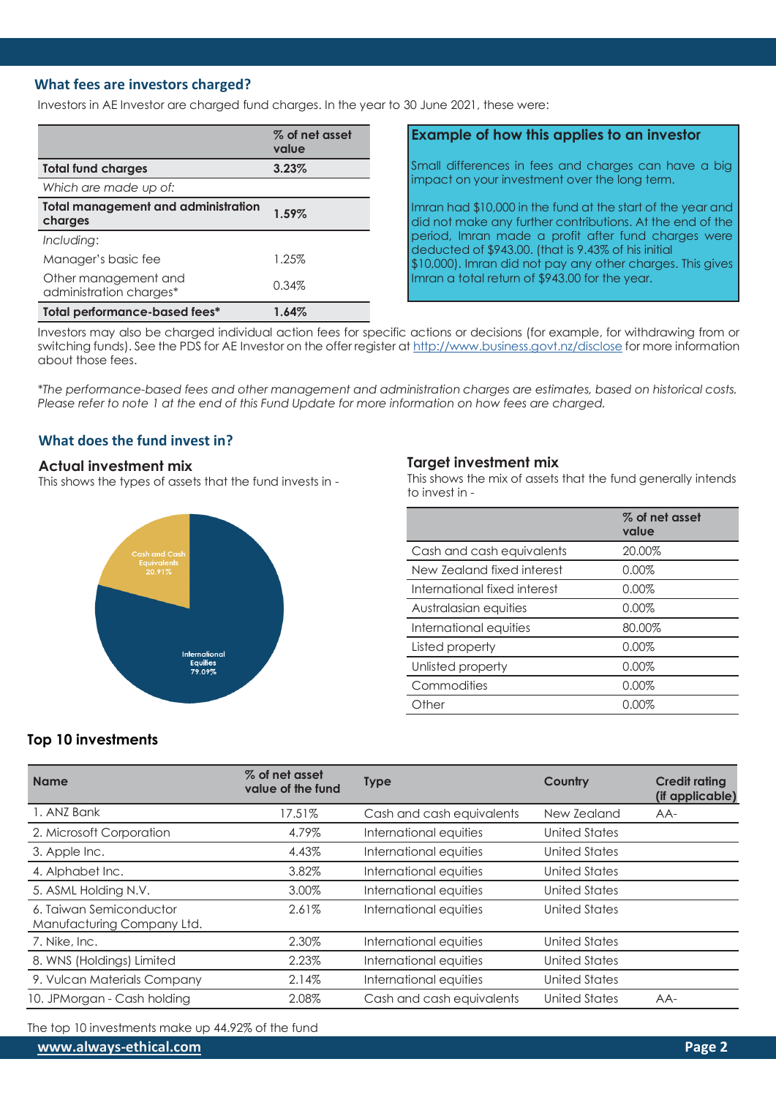#### **What fees are investors charged?**

Investors in AE Investor are charged fund charges. In the year to 30 June 2021, these were:

|                                                       | % of net asset<br>value |
|-------------------------------------------------------|-------------------------|
| <b>Total fund charges</b>                             | 3.23%                   |
| Which are made up of:                                 |                         |
| <b>Total management and administration</b><br>charges | 1.59%                   |
| Including:                                            |                         |
| Manager's basic fee                                   | 1.25%                   |
| Other management and<br>administration charges*       | 0.34%                   |
| Total performance-based fees*                         | 1.64%                   |

#### **Example of how this applies to an investor**

Small differences in fees and charges can have a big impact on your investment over the long term.

Imran had \$10,000 in the fund at the start of the year and did not make any further contributions. At the end of the period, Imran made a profit after fund charges were deducted of \$943.00. (that is 9.43% of his initial \$10,000). Imran did not pay any other charges. This gives Imran a total return of \$943.00 for the year.

Investors may also be charged individual action fees for specific actions or decisions (for example, for withdrawing from or switching funds). See the PDS for AE Investor on the offer register at <http://www.business.govt.nz/disclose> for more information about those fees.

*\*The performance-based fees and other management and administration charges are estimates, based on historical costs. Please refer to note 1 at the end of this Fund Update for more information on how fees are charged.*

# **What does the fund invest in?**

#### **Actual investment mix**

This shows the types of assets that the fund invests in -



#### **Target investment mix**

This shows the mix of assets that the fund generally intends to invest in -

|                              | % of net asset<br>value |
|------------------------------|-------------------------|
| Cash and cash equivalents    | 20.00%                  |
| New Zealand fixed interest   | $0.00\%$                |
| International fixed interest | $0.00\%$                |
| Australasian equities        | 0.00%                   |
| International equities       | 80.00%                  |
| Listed property              | $0.00\%$                |
| Unlisted property            | $0.00\%$                |
| Commodities                  | 0.00%                   |
| Other                        | 0.00%                   |
|                              |                         |

# **Top 10 investments**

| <b>Name</b>                                           | % of net asset<br>value of the fund | <b>Type</b>               | Country       | <b>Credit rating</b><br>(if applicable) |
|-------------------------------------------------------|-------------------------------------|---------------------------|---------------|-----------------------------------------|
| 1. ANZ Bank                                           | 17.51%                              | Cash and cash equivalents | New Zealand   | AA-                                     |
| 2. Microsoft Corporation                              | 4.79%                               | International equities    | United States |                                         |
| 3. Apple Inc.                                         | 4.43%                               | International equities    | United States |                                         |
| 4. Alphabet Inc.                                      | 3.82%                               | International equities    | United States |                                         |
| 5. ASML Holding N.V.                                  | 3.00%                               | International equities    | United States |                                         |
| 6. Taiwan Semiconductor<br>Manufacturing Company Ltd. | 2.61%                               | International equities    | United States |                                         |
| 7. Nike, Inc.                                         | 2.30%                               | International equities    | United States |                                         |
| 8. WNS (Holdings) Limited                             | 2.23%                               | International equities    | United States |                                         |
| 9. Vulcan Materials Company                           | 2.14%                               | International equities    | United States |                                         |
| 10. JPMorgan - Cash holding                           | 2.08%                               | Cash and cash equivalents | United States | $AA-$                                   |

The top 10 investments make up 44.92% of the fund

**[www.always-ethical.com](http://www.always-ethical.com/) Page 2**